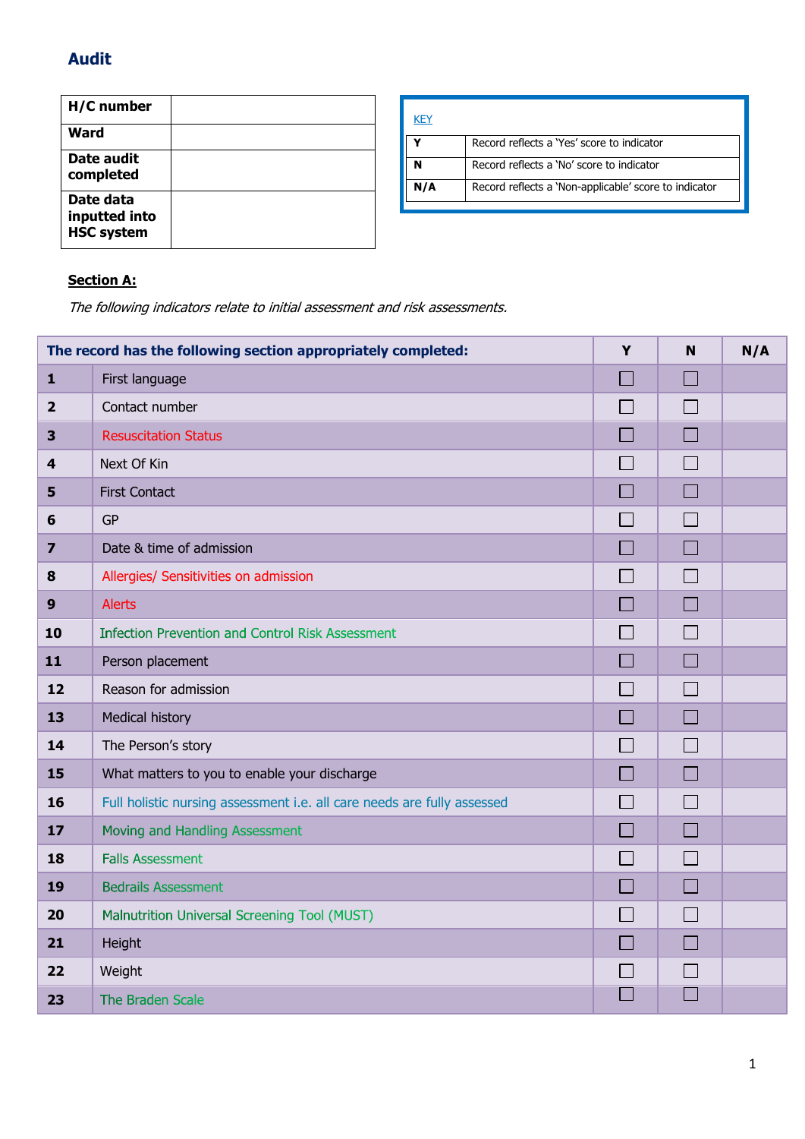## **Audit**

| H/C number                                      |  |
|-------------------------------------------------|--|
| Ward                                            |  |
| Date audit<br>completed                         |  |
| Date data<br>inputted into<br><b>HSC system</b> |  |

| <b>KEY</b> |                                                       |
|------------|-------------------------------------------------------|
|            | Record reflects a 'Yes' score to indicator            |
|            | Record reflects a 'No' score to indicator             |
| N/A        | Record reflects a 'Non-applicable' score to indicator |

# **Section A:**

The following indicators relate to initial assessment and risk assessments.

| The record has the following section appropriately completed: |                                                                         | Y                        | N                           | N/A |
|---------------------------------------------------------------|-------------------------------------------------------------------------|--------------------------|-----------------------------|-----|
| $\mathbf{1}$                                                  | First language                                                          | $\Box$                   | $\Box$                      |     |
| $\overline{2}$                                                | Contact number                                                          |                          | П                           |     |
| 3                                                             | <b>Resuscitation Status</b>                                             | $\Box$                   | $\Box$                      |     |
| $\overline{\mathbf{4}}$                                       | Next Of Kin                                                             |                          | $\Box$                      |     |
| 5                                                             | <b>First Contact</b>                                                    | $\Box$                   | $\Box$                      |     |
| 6                                                             | <b>GP</b>                                                               |                          | $\Box$                      |     |
| $\overline{\mathbf{z}}$                                       | Date & time of admission                                                | <b>COL</b>               | $\Box$                      |     |
| 8                                                             | Allergies/ Sensitivities on admission                                   |                          | П                           |     |
| 9                                                             | <b>Alerts</b>                                                           | m.                       | $\Box$                      |     |
| 10                                                            | <b>Infection Prevention and Control Risk Assessment</b>                 |                          | $\Box$                      |     |
| 11                                                            | Person placement                                                        |                          | $\Box$                      |     |
| 12                                                            | Reason for admission                                                    |                          | $\mathcal{L}_{\mathcal{A}}$ |     |
| 13                                                            | <b>Medical history</b>                                                  |                          | $\Box$                      |     |
| 14                                                            | The Person's story                                                      |                          | $\mathcal{L}_{\mathcal{A}}$ |     |
| 15                                                            | What matters to you to enable your discharge                            |                          | $\Box$                      |     |
| 16                                                            | Full holistic nursing assessment i.e. all care needs are fully assessed |                          | $\Box$                      |     |
| 17                                                            | Moving and Handling Assessment                                          |                          | $\Box$                      |     |
| 18                                                            | <b>Falls Assessment</b>                                                 | $\overline{\phantom{a}}$ | П                           |     |
| 19                                                            | <b>Bedrails Assessment</b>                                              |                          | П                           |     |
| 20                                                            | Malnutrition Universal Screening Tool (MUST)                            |                          | $\Box$                      |     |
| 21                                                            | Height                                                                  |                          | $\Box$                      |     |
| 22                                                            | Weight                                                                  |                          | $\mathsf{L}$                |     |
| 23                                                            | The Braden Scale                                                        |                          |                             |     |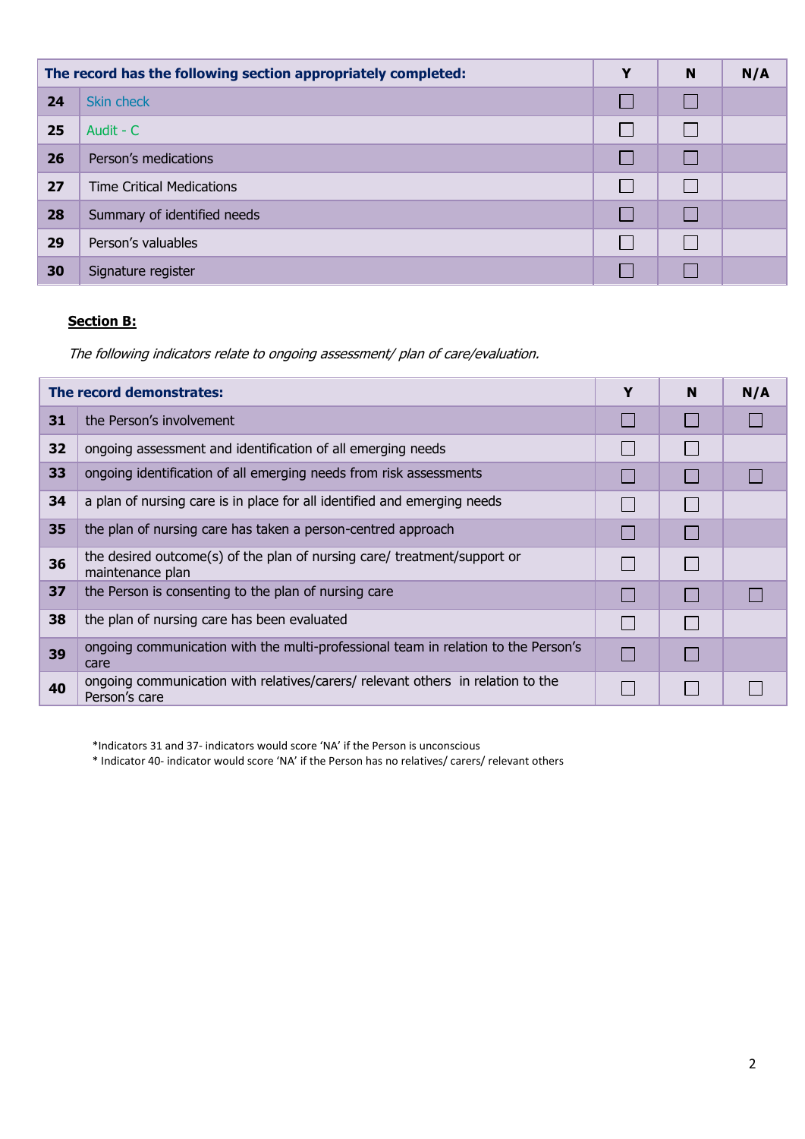| The record has the following section appropriately completed: |                                  | Y | N            | N/A |
|---------------------------------------------------------------|----------------------------------|---|--------------|-----|
| 24                                                            | Skin check                       |   | $\mathsf{L}$ |     |
| 25                                                            | Audit - C                        |   |              |     |
| 26                                                            | Person's medications             |   | $\mathbf{I}$ |     |
| 27                                                            | <b>Time Critical Medications</b> |   |              |     |
| 28                                                            | Summary of identified needs      |   |              |     |
| 29                                                            | Person's valuables               |   | $\Box$       |     |
| 30                                                            | Signature register               |   |              |     |

### **Section B:**

The following indicators relate to ongoing assessment/ plan of care/evaluation.

| The record demonstrates: |                                                                                                  | Y | N | N/A |
|--------------------------|--------------------------------------------------------------------------------------------------|---|---|-----|
| 31                       | the Person's involvement                                                                         |   |   |     |
| 32                       | ongoing assessment and identification of all emerging needs                                      |   |   |     |
| 33                       | ongoing identification of all emerging needs from risk assessments                               |   |   |     |
| 34                       | a plan of nursing care is in place for all identified and emerging needs                         |   |   |     |
| 35                       | the plan of nursing care has taken a person-centred approach                                     |   |   |     |
| 36                       | the desired outcome(s) of the plan of nursing care/ treatment/support or<br>maintenance plan     |   |   |     |
| 37                       | the Person is consenting to the plan of nursing care                                             |   |   |     |
| 38                       | the plan of nursing care has been evaluated                                                      |   |   |     |
| 39                       | ongoing communication with the multi-professional team in relation to the Person's<br>care       |   |   |     |
| 40                       | ongoing communication with relatives/carers/ relevant others in relation to the<br>Person's care |   |   |     |

\*Indicators 31 and 37- indicators would score 'NA' if the Person is unconscious

\* Indicator 40- indicator would score 'NA' if the Person has no relatives/ carers/ relevant others